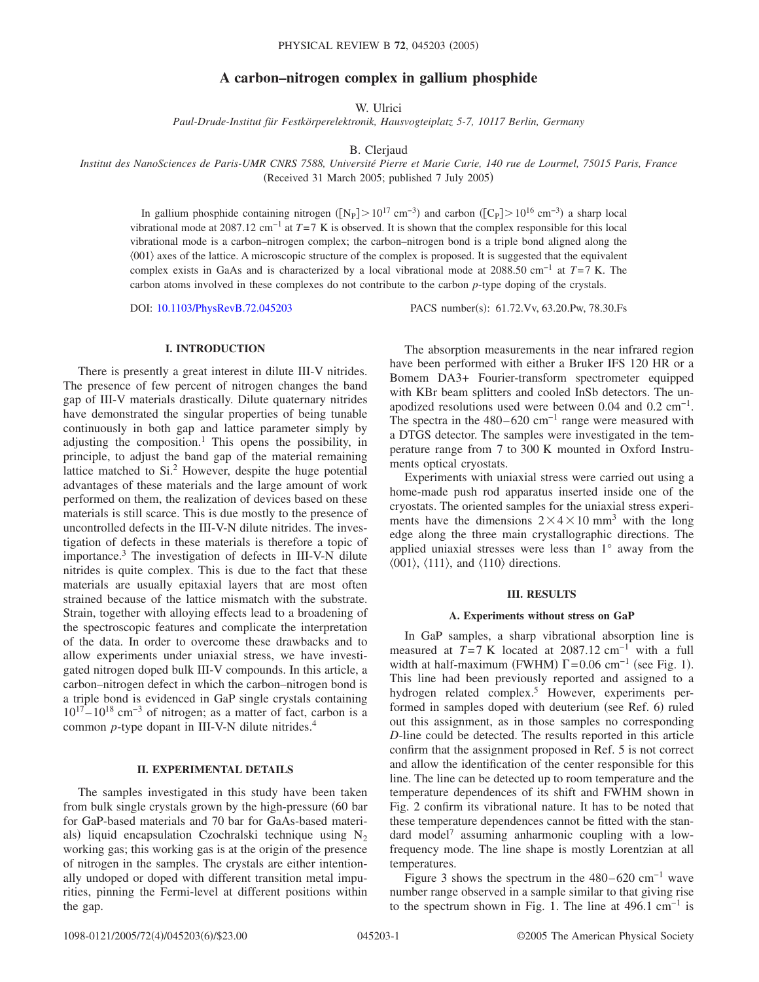# **A carbon–nitrogen complex in gallium phosphide**

W. Ulrici

*Paul-Drude-Institut für Festkörperelektronik, Hausvogteiplatz 5-7, 10117 Berlin, Germany*

B. Clerjaud

*Institut des NanoSciences de Paris-UMR CNRS 7588, Université Pierre et Marie Curie, 140 rue de Lourmel, 75015 Paris, France* (Received 31 March 2005; published 7 July 2005)

In gallium phosphide containing nitrogen ( $[N_P] > 10^{17}$  cm<sup>-3</sup>) and carbon ( $[C_P] > 10^{16}$  cm<sup>-3</sup>) a sharp local vibrational mode at 2087.12 cm−1 at *T*=7 K is observed. It is shown that the complex responsible for this local vibrational mode is a carbon–nitrogen complex; the carbon–nitrogen bond is a triple bond aligned along the  $(001)$  axes of the lattice. A microscopic structure of the complex is proposed. It is suggested that the equivalent complex exists in GaAs and is characterized by a local vibrational mode at 2088.50 cm−1 at *T*=7 K. The carbon atoms involved in these complexes do not contribute to the carbon *p*-type doping of the crystals.

DOI: [10.1103/PhysRevB.72.045203](http://dx.doi.org/10.1103/PhysRevB.72.045203)

PACS number(s): 61.72. Vv, 63.20. Pw, 78.30. Fs

## **I. INTRODUCTION**

There is presently a great interest in dilute III-V nitrides. The presence of few percent of nitrogen changes the band gap of III-V materials drastically. Dilute quaternary nitrides have demonstrated the singular properties of being tunable continuously in both gap and lattice parameter simply by adjusting the composition.<sup>1</sup> This opens the possibility, in principle, to adjust the band gap of the material remaining lattice matched to Si.<sup>2</sup> However, despite the huge potential advantages of these materials and the large amount of work performed on them, the realization of devices based on these materials is still scarce. This is due mostly to the presence of uncontrolled defects in the III-V-N dilute nitrides. The investigation of defects in these materials is therefore a topic of importance.3 The investigation of defects in III-V-N dilute nitrides is quite complex. This is due to the fact that these materials are usually epitaxial layers that are most often strained because of the lattice mismatch with the substrate. Strain, together with alloying effects lead to a broadening of the spectroscopic features and complicate the interpretation of the data. In order to overcome these drawbacks and to allow experiments under uniaxial stress, we have investigated nitrogen doped bulk III-V compounds. In this article, a carbon–nitrogen defect in which the carbon–nitrogen bond is a triple bond is evidenced in GaP single crystals containing  $10^{17}$ – $10^{18}$  cm<sup>-3</sup> of nitrogen; as a matter of fact, carbon is a common *p*-type dopant in III-V-N dilute nitrides.<sup>4</sup>

### **II. EXPERIMENTAL DETAILS**

The samples investigated in this study have been taken from bulk single crystals grown by the high-pressure (60 bar for GaP-based materials and 70 bar for GaAs-based materials) liquid encapsulation Czochralski technique using  $N_2$ working gas; this working gas is at the origin of the presence of nitrogen in the samples. The crystals are either intentionally undoped or doped with different transition metal impurities, pinning the Fermi-level at different positions within the gap.

The absorption measurements in the near infrared region have been performed with either a Bruker IFS 120 HR or a Bomem DA3+ Fourier-transform spectrometer equipped with KBr beam splitters and cooled InSb detectors. The unapodized resolutions used were between 0.04 and 0.2 cm−1. The spectra in the 480–620 cm<sup>-1</sup> range were measured with a DTGS detector. The samples were investigated in the temperature range from 7 to 300 K mounted in Oxford Instruments optical cryostats.

Experiments with uniaxial stress were carried out using a home-made push rod apparatus inserted inside one of the cryostats. The oriented samples for the uniaxial stress experiments have the dimensions  $2 \times 4 \times 10$  mm<sup>3</sup> with the long edge along the three main crystallographic directions. The applied uniaxial stresses were less than 1° away from the  $\langle 001 \rangle$ ,  $\langle 111 \rangle$ , and  $\langle 110 \rangle$  directions.

#### **III. RESULTS**

#### **A. Experiments without stress on GaP**

In GaP samples, a sharp vibrational absorption line is measured at  $T=7$  K located at 2087.12 cm<sup>-1</sup> with a full width at half-maximum (FWHM)  $\Gamma$ =0.06 cm<sup>-1</sup> (see Fig. 1). This line had been previously reported and assigned to a hydrogen related complex.<sup>5</sup> However, experiments performed in samples doped with deuterium (see Ref. 6) ruled out this assignment, as in those samples no corresponding *D*-line could be detected. The results reported in this article confirm that the assignment proposed in Ref. 5 is not correct and allow the identification of the center responsible for this line. The line can be detected up to room temperature and the temperature dependences of its shift and FWHM shown in Fig. 2 confirm its vibrational nature. It has to be noted that these temperature dependences cannot be fitted with the standard model<sup>7</sup> assuming anharmonic coupling with a lowfrequency mode. The line shape is mostly Lorentzian at all temperatures.

Figure 3 shows the spectrum in the 480–620 cm<sup>-1</sup> wave number range observed in a sample similar to that giving rise to the spectrum shown in Fig. 1. The line at 496.1 cm<sup>-1</sup> is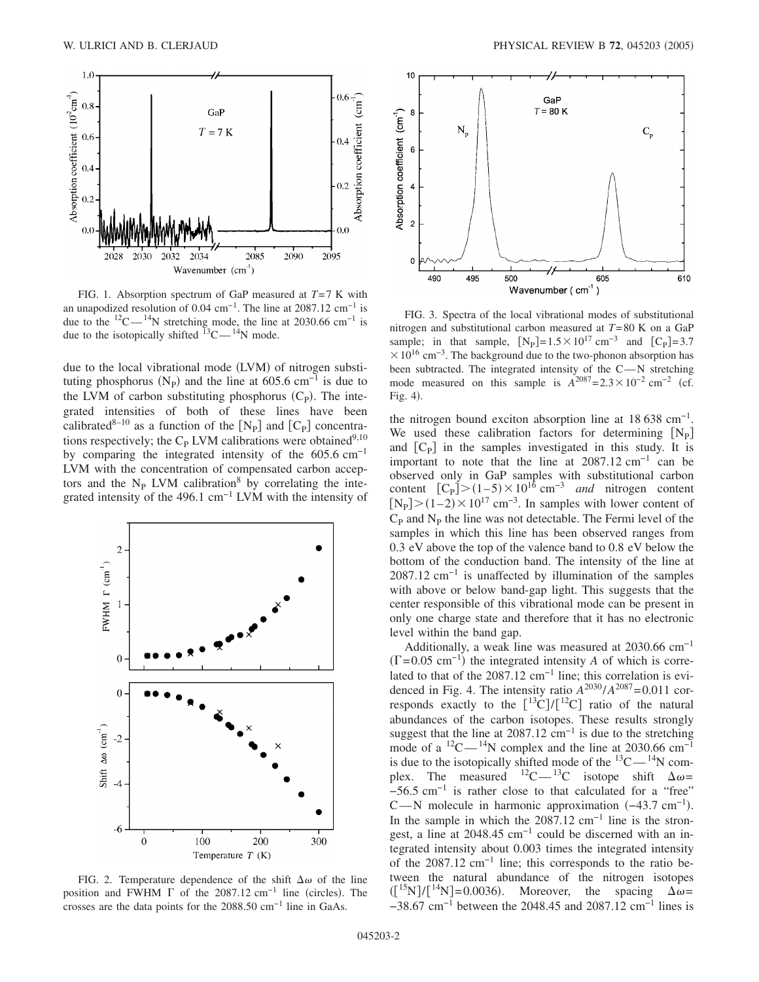

FIG. 1. Absorption spectrum of GaP measured at *T*=7 K with an unapodized resolution of 0.04 cm<sup>-1</sup>. The line at 2087.12 cm<sup>-1</sup> is due to the  $12^{\circ}C^{-14}N$  stretching mode, the line at 2030.66 cm<sup>-1</sup> is due to the isotopically shifted  ${}^{13}$ C $-{}^{14}$ N mode.

due to the local vibrational mode (LVM) of nitrogen substituting phosphorus ( $N_P$ ) and the line at 605.6 cm<sup>-1</sup> is due to the LVM of carbon substituting phosphorus  $(C_P)$ . The integrated intensities of both of these lines have been calibrated<sup>8-10</sup> as a function of the  $[N_P]$  and  $[C_P]$  concentrations respectively; the  $C_P$  LVM calibrations were obtained<sup>9,10</sup> by comparing the integrated intensity of the  $605.6 \text{ cm}^{-1}$ LVM with the concentration of compensated carbon acceptors and the  $N_P$  LVM calibration<sup>8</sup> by correlating the integrated intensity of the 496.1  $cm^{-1}$  LVM with the intensity of



FIG. 2. Temperature dependence of the shift  $\Delta\omega$  of the line position and FWHM  $\Gamma$  of the 2087.12 cm<sup>-1</sup> line (circles). The crosses are the data points for the 2088.50 cm<sup>-1</sup> line in GaAs.



FIG. 3. Spectra of the local vibrational modes of substitutional nitrogen and substitutional carbon measured at *T*=80 K on a GaP sample; in that sample,  $[N_{\rm P}]=1.5\times10^{17}$  cm<sup>-3</sup> and  $[C_{\rm P}]=3.7$  $\times$  10<sup>16</sup> cm<sup>-3</sup>. The background due to the two-phonon absorption has been subtracted. The integrated intensity of the  $C-N$  stretching mode measured on this sample is  $A^{2087}$ =2.3 × 10<sup>-2</sup> cm<sup>-2</sup> (cf. Fig. 4).

the nitrogen bound exciton absorption line at  $18\,638\,\mathrm{cm}^{-1}$ . We used these calibration factors for determining  $[N_{p}]$ and  $[C_{P}]$  in the samples investigated in this study. It is important to note that the line at  $2087.12 \text{ cm}^{-1}$  can be observed only in GaP samples with substitutional carbon content  $[C_P] > (1-5) \times 10^{16}$  cm<sup>-3</sup> *and* nitrogen content  $[N_P] > (1-2) \times 10^{17}$  cm<sup>-3</sup>. In samples with lower content of  $C_{\rm P}$  and  $N_{\rm P}$  the line was not detectable. The Fermi level of the samples in which this line has been observed ranges from 0.3 eV above the top of the valence band to 0.8 eV below the bottom of the conduction band. The intensity of the line at  $2087.12$  cm<sup>-1</sup> is unaffected by illumination of the samples with above or below band-gap light. This suggests that the center responsible of this vibrational mode can be present in only one charge state and therefore that it has no electronic level within the band gap.

Additionally, a weak line was measured at  $2030.66$  cm<sup>-1</sup>  $(T=0.05 \text{ cm}^{-1})$  the integrated intensity *A* of which is correlated to that of the 2087.12 cm<sup>-1</sup> line; this correlation is evidenced in Fig. 4. The intensity ratio  $A^{2030}/A^{2087}$ =0.011 corresponds exactly to the  $[^{13}C]/[^{12}C]$  ratio of the natural abundances of the carbon isotopes. These results strongly suggest that the line at  $2087.12 \text{ cm}^{-1}$  is due to the stretching mode of a  ${}^{12}$ C —  ${}^{14}$ N complex and the line at 2030.66 cm<sup>-1</sup> is due to the isotopically shifted mode of the  $^{13}$ C $^{14}$ N complex. The measured  ${}^{12}C-{}^{13}C$  isotope shift  $\Delta \omega =$  $-56.5$  cm<sup>-1</sup> is rather close to that calculated for a "free" C—N molecule in harmonic approximation  $(-43.7 \text{ cm}^{-1})$ . In the sample in which the  $2087.12 \text{ cm}^{-1}$  line is the strongest, a line at 2048.45 cm−1 could be discerned with an integrated intensity about 0.003 times the integrated intensity of the 2087.12 cm−1 line; this corresponds to the ratio between the natural abundance of the nitrogen isotopes  $\left( \binom{15}{1} / \binom{14}{1} = 0.0036 \right)$ . Moreover, the spacing  $\Delta \omega =$  $-38.67$  cm<sup>-1</sup> between the 2048.45 and 2087.12 cm<sup>-1</sup> lines is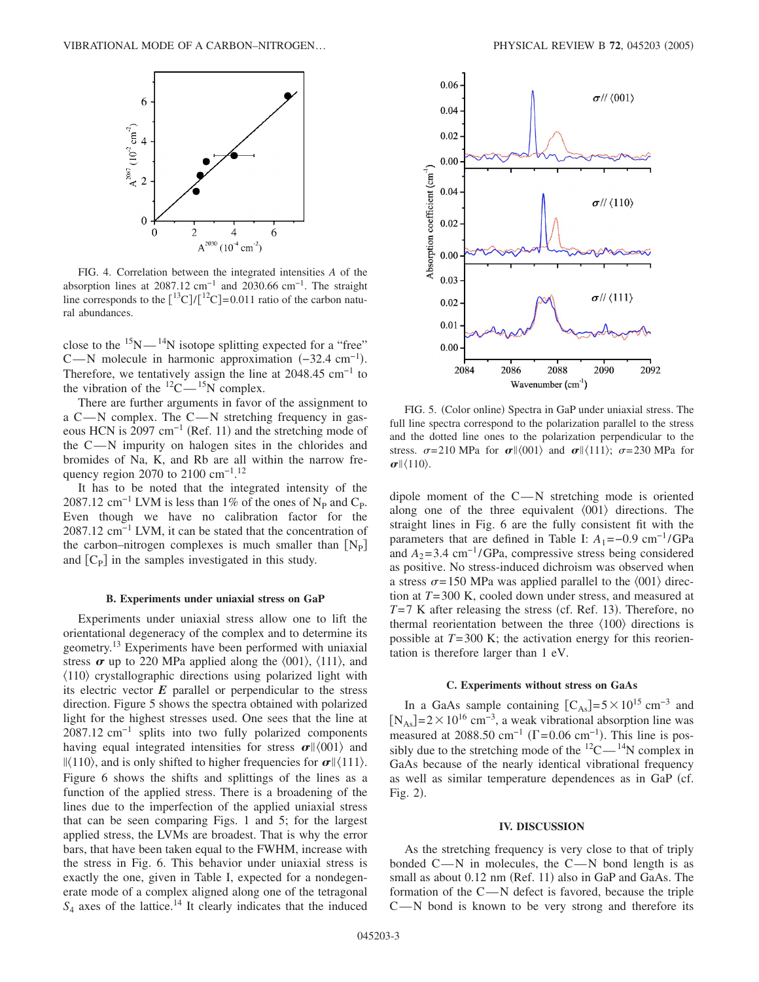

FIG. 4. Correlation between the integrated intensities *A* of the absorption lines at 2087.12 cm<sup>-1</sup> and 2030.66 cm<sup>-1</sup>. The straight line corresponds to the  $\binom{13}{1}\cdot\binom{12}{1}=0.011$  ratio of the carbon natural abundances.

close to the  $15N-14N$  isotope splitting expected for a "free" C—N molecule in harmonic approximation  $(-32.4 \text{ cm}^{-1})$ . Therefore, we tentatively assign the line at  $2048.45 \text{ cm}^{-1}$  to the vibration of the  $^{12}C - ^{15}N$  complex.

There are further arguments in favor of the assignment to a C—N complex. The C—N stretching frequency in gaseous HCN is 2097 cm<sup>-1</sup> (Ref. 11) and the stretching mode of the  $C-N$  impurity on halogen sites in the chlorides and bromides of Na, K, and Rb are all within the narrow frequency region 2070 to 2100 cm<sup>-1</sup>.<sup>12</sup>

It has to be noted that the integrated intensity of the 2087.12 cm<sup>-1</sup> LVM is less than 1% of the ones of N<sub>P</sub> and C<sub>P</sub>. Even though we have no calibration factor for the 2087.12 cm−1 LVM, it can be stated that the concentration of the carbon–nitrogen complexes is much smaller than  $[N_{P}]$ and  $[C_{\rm P}]$  in the samples investigated in this study.

### **B. Experiments under uniaxial stress on GaP**

Experiments under uniaxial stress allow one to lift the orientational degeneracy of the complex and to determine its geometry.13 Experiments have been performed with uniaxial stress  $\sigma$  up to 220 MPa applied along the  $\langle 001 \rangle$ ,  $\langle 111 \rangle$ , and  $\langle 110 \rangle$  crystallographic directions using polarized light with its electric vector  $E$  parallel or perpendicular to the stress direction. Figure 5 shows the spectra obtained with polarized light for the highest stresses used. One sees that the line at 2087.12 cm<sup>-1</sup> splits into two fully polarized components having equal integrated intensities for stress  $\sigma$   $\left| \langle 001 \rangle \right|$  and  $\|$ (110), and is only shifted to higher frequencies for  $\sigma$  $\|$ (111). Figure 6 shows the shifts and splittings of the lines as a function of the applied stress. There is a broadening of the lines due to the imperfection of the applied uniaxial stress that can be seen comparing Figs. 1 and 5; for the largest applied stress, the LVMs are broadest. That is why the error bars, that have been taken equal to the FWHM, increase with the stress in Fig. 6. This behavior under uniaxial stress is exactly the one, given in Table I, expected for a nondegenerate mode of a complex aligned along one of the tetragonal  $S_4$  axes of the lattice.<sup>14</sup> It clearly indicates that the induced



FIG. 5. (Color online) Spectra in GaP under uniaxial stress. The full line spectra correspond to the polarization parallel to the stress and the dotted line ones to the polarization perpendicular to the stress.  $\sigma = 210$  MPa for  $\sigma || \langle 001 \rangle$  and  $\sigma || \langle 111 \rangle$ ;  $\sigma = 230$  MPa for  $\sigma$   $\langle 110 \rangle$ .

dipole moment of the  $C-N$  stretching mode is oriented along one of the three equivalent  $\langle 001 \rangle$  directions. The straight lines in Fig. 6 are the fully consistent fit with the parameters that are defined in Table I:  $A_1 = -0.9$  cm<sup>-1</sup>/GPa and  $A_2$ =3.4 cm<sup>-1</sup>/GPa, compressive stress being considered as positive. No stress-induced dichroism was observed when a stress  $\sigma$ =150 MPa was applied parallel to the  $\langle 001 \rangle$  direction at *T*=300 K, cooled down under stress, and measured at  $T=7$  K after releasing the stress (cf. Ref. 13). Therefore, no thermal reorientation between the three  $\langle 100 \rangle$  directions is possible at *T*=300 K; the activation energy for this reorientation is therefore larger than 1 eV.

## **C. Experiments without stress on GaAs**

In a GaAs sample containing  $[C_{As}] = 5 \times 10^{15}$  cm<sup>-3</sup> and  $[N<sub>As</sub>]$ =2×10<sup>16</sup> cm<sup>-3</sup>, a weak vibrational absorption line was measured at 2088.50 cm<sup>-1</sup> ( $\Gamma$ =0.06 cm<sup>-1</sup>). This line is possibly due to the stretching mode of the  $^{12}C - ^{14}N$  complex in GaAs because of the nearly identical vibrational frequency as well as similar temperature dependences as in GaP (cf. Fig. 2).

### **IV. DISCUSSION**

As the stretching frequency is very close to that of triply bonded  $C-N$  in molecules, the  $C-N$  bond length is as small as about 0.12 nm (Ref. 11) also in GaP and GaAs. The formation of the  $C - N$  defect is favored, because the triple  $C-N$  bond is known to be very strong and therefore its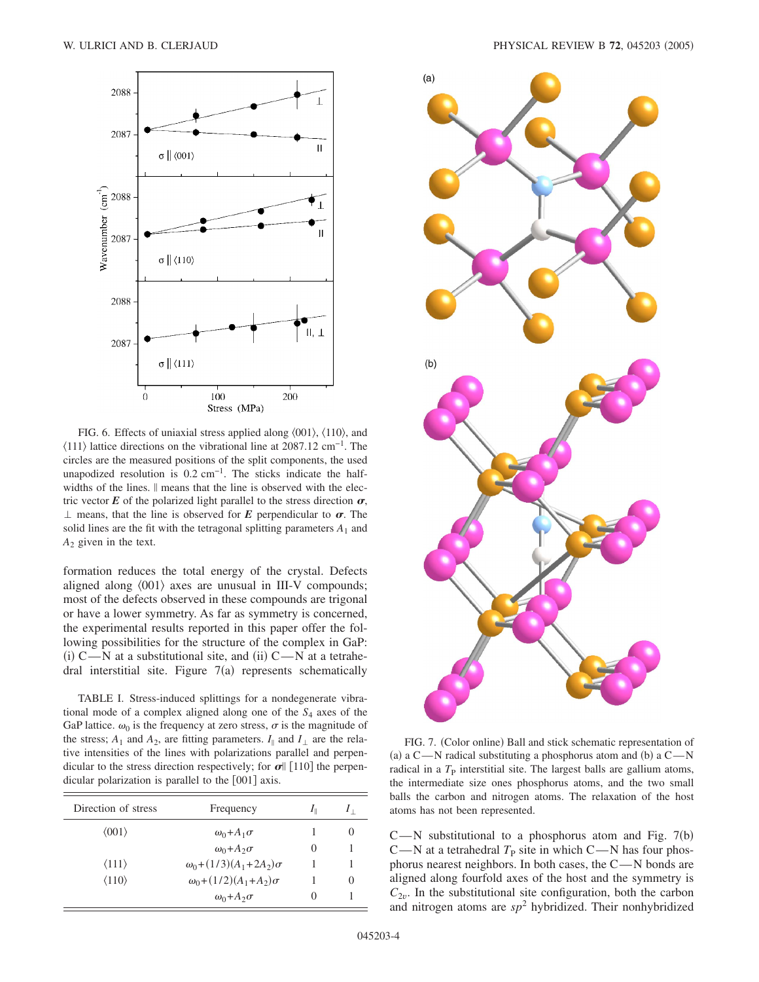

FIG. 6. Effects of uniaxial stress applied along  $\langle 001 \rangle$ ,  $\langle 110 \rangle$ , and  $\langle 111 \rangle$  lattice directions on the vibrational line at 2087.12 cm<sup>-1</sup>. The circles are the measured positions of the split components, the used unapodized resolution is  $0.2 \text{ cm}^{-1}$ . The sticks indicate the halfwidths of the lines.  $\parallel$  means that the line is observed with the electric vector  $E$  of the polarized light parallel to the stress direction  $\sigma$ ,  $\perp$  means, that the line is observed for *E* perpendicular to  $\sigma$ . The solid lines are the fit with the tetragonal splitting parameters  $A_1$  and  $A_2$  given in the text.

formation reduces the total energy of the crystal. Defects aligned along  $\langle 001 \rangle$  axes are unusual in III-V compounds; most of the defects observed in these compounds are trigonal or have a lower symmetry. As far as symmetry is concerned, the experimental results reported in this paper offer the following possibilities for the structure of the complex in GaP: (i)  $C$ —N at a substitutional site, and (ii)  $C$ —N at a tetrahedral interstitial site. Figure  $7(a)$  represents schematically

TABLE I. Stress-induced splittings for a nondegenerate vibrational mode of a complex aligned along one of the *S*<sup>4</sup> axes of the GaP lattice.  $\omega_0$  is the frequency at zero stress,  $\sigma$  is the magnitude of the stress;  $A_1$  and  $A_2$ , are fitting parameters.  $I_{\parallel}$  and  $I_{\perp}$  are the relative intensities of the lines with polarizations parallel and perpendicular to the stress direction respectively; for  $\sigma$ || [110] the perpendicular polarization is parallel to the  $[001]$  axis.

| Direction of stress   | Frequency                            | $I_{\parallel}$ |                  |
|-----------------------|--------------------------------------|-----------------|------------------|
| $\langle 001 \rangle$ | $\omega_0 + A_1 \sigma$              |                 |                  |
|                       | $\omega_0 + A_2 \sigma$              | $\mathbf{0}$    |                  |
| $\langle 111 \rangle$ | $\omega_0 + (1/3)(A_1 + 2A_2)\sigma$ |                 |                  |
| $\langle 110 \rangle$ | $\omega_0 + (1/2)(A_1 + A_2)\sigma$  |                 | $\left( \right)$ |
|                       | $\omega_0 + A_2 \sigma$              |                 |                  |



FIG. 7. (Color online) Ball and stick schematic representation of (a) a C—N radical substituting a phosphorus atom and (b) a C—N radical in a  $T<sub>P</sub>$  interstitial site. The largest balls are gallium atoms, the intermediate size ones phosphorus atoms, and the two small balls the carbon and nitrogen atoms. The relaxation of the host atoms has not been represented.

 $C-M$  substitutional to a phosphorus atom and Fig. 7(b)  $C-N$  at a tetrahedral  $T<sub>P</sub>$  site in which  $C-N$  has four phosphorus nearest neighbors. In both cases, the  $C - N$  bonds are aligned along fourfold axes of the host and the symmetry is  $C_{2v}$ . In the substitutional site configuration, both the carbon and nitrogen atoms are  $sp^2$  hybridized. Their nonhybridized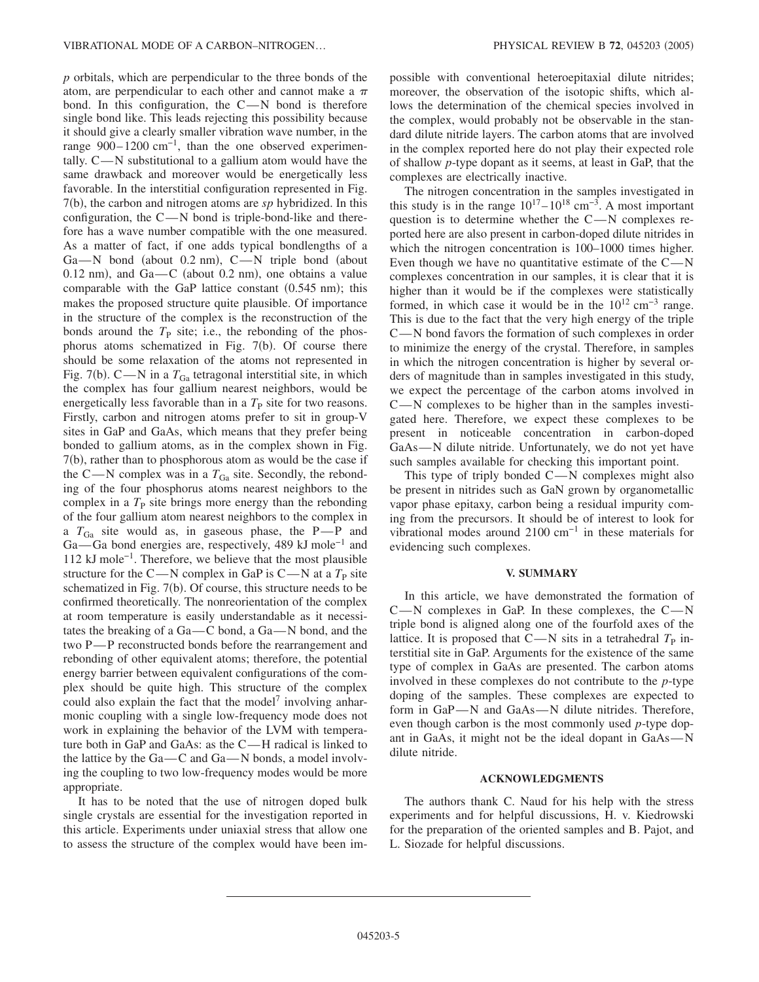*p* orbitals, which are perpendicular to the three bonds of the atom, are perpendicular to each other and cannot make a  $\pi$ bond. In this configuration, the  $C-N$  bond is therefore single bond like. This leads rejecting this possibility because it should give a clearly smaller vibration wave number, in the range  $900-1200$  cm<sup>-1</sup>, than the one observed experimentally.  $C \rightarrow N$  substitutional to a gallium atom would have the same drawback and moreover would be energetically less favorable. In the interstitial configuration represented in Fig. 7(b), the carbon and nitrogen atoms are *sp* hybridized. In this configuration, the  $C - N$  bond is triple-bond-like and therefore has a wave number compatible with the one measured. As a matter of fact, if one adds typical bondlengths of a Ga-N bond (about 0.2 nm), C-N triple bond (about  $0.12$  nm), and  $Ga$ —C (about  $0.2$  nm), one obtains a value comparable with the GaP lattice constant  $(0.545 \text{ nm})$ ; this makes the proposed structure quite plausible. Of importance in the structure of the complex is the reconstruction of the bonds around the  $T<sub>P</sub>$  site; i.e., the rebonding of the phosphorus atoms schematized in Fig. 7(b). Of course there should be some relaxation of the atoms not represented in Fig. 7(b).  $C - N$  in a  $T_{Ga}$  tetragonal interstitial site, in which the complex has four gallium nearest neighbors, would be energetically less favorable than in a  $T<sub>P</sub>$  site for two reasons. Firstly, carbon and nitrogen atoms prefer to sit in group-V sites in GaP and GaAs, which means that they prefer being bonded to gallium atoms, as in the complex shown in Fig. 7(b), rather than to phosphorous atom as would be the case if the C—N complex was in a  $T_{Ga}$  site. Secondly, the rebonding of the four phosphorus atoms nearest neighbors to the complex in a  $T<sub>P</sub>$  site brings more energy than the rebonding of the four gallium atom nearest neighbors to the complex in a  $T_{Ga}$  site would as, in gaseous phase, the P-P and Ga—Ga bond energies are, respectively, 489 kJ mole<sup>-1</sup> and 112 kJ mole−1. Therefore, we believe that the most plausible structure for the C—N complex in GaP is C—N at a  $T<sub>P</sub>$  site schematized in Fig. 7(b). Of course, this structure needs to be confirmed theoretically. The nonreorientation of the complex at room temperature is easily understandable as it necessitates the breaking of a  $Ga$ —C bond, a  $Ga$ —N bond, and the two P—P reconstructed bonds before the rearrangement and rebonding of other equivalent atoms; therefore, the potential energy barrier between equivalent configurations of the complex should be quite high. This structure of the complex could also explain the fact that the model<sup>7</sup> involving anharmonic coupling with a single low-frequency mode does not work in explaining the behavior of the LVM with temperature both in GaP and GaAs: as the  $C-H$  radical is linked to the lattice by the  $Ga - C$  and  $Ga - N$  bonds, a model involving the coupling to two low-frequency modes would be more appropriate.

It has to be noted that the use of nitrogen doped bulk single crystals are essential for the investigation reported in this article. Experiments under uniaxial stress that allow one to assess the structure of the complex would have been impossible with conventional heteroepitaxial dilute nitrides; moreover, the observation of the isotopic shifts, which allows the determination of the chemical species involved in the complex, would probably not be observable in the standard dilute nitride layers. The carbon atoms that are involved in the complex reported here do not play their expected role of shallow *p*-type dopant as it seems, at least in GaP, that the complexes are electrically inactive.

The nitrogen concentration in the samples investigated in this study is in the range  $10^{17} - 10^{18}$  cm<sup>-3</sup>. A most important question is to determine whether the  $C-N$  complexes reported here are also present in carbon-doped dilute nitrides in which the nitrogen concentration is  $100-1000$  times higher. Even though we have no quantitative estimate of the  $C - N$ complexes concentration in our samples, it is clear that it is higher than it would be if the complexes were statistically formed, in which case it would be in the  $10^{12}$  cm<sup>-3</sup> range. This is due to the fact that the very high energy of the triple  $C - N$  bond favors the formation of such complexes in order to minimize the energy of the crystal. Therefore, in samples in which the nitrogen concentration is higher by several orders of magnitude than in samples investigated in this study, we expect the percentage of the carbon atoms involved in  $C-M$  complexes to be higher than in the samples investigated here. Therefore, we expect these complexes to be present in noticeable concentration in carbon-doped GaAs—N dilute nitride. Unfortunately, we do not yet have such samples available for checking this important point.

This type of triply bonded  $C-N$  complexes might also be present in nitrides such as GaN grown by organometallic vapor phase epitaxy, carbon being a residual impurity coming from the precursors. It should be of interest to look for vibrational modes around 2100 cm−1 in these materials for evidencing such complexes.

### **V. SUMMARY**

In this article, we have demonstrated the formation of  $C-N$  complexes in GaP. In these complexes, the  $C-N$ triple bond is aligned along one of the fourfold axes of the lattice. It is proposed that  $C-N$  sits in a tetrahedral  $T<sub>P</sub>$  interstitial site in GaP. Arguments for the existence of the same type of complex in GaAs are presented. The carbon atoms involved in these complexes do not contribute to the *p*-type doping of the samples. These complexes are expected to form in  $GaP-N$  and  $GaAs-N$  dilute nitrides. Therefore, even though carbon is the most commonly used *p*-type dopant in GaAs, it might not be the ideal dopant in  $GaAs - N$ dilute nitride.

### **ACKNOWLEDGMENTS**

The authors thank C. Naud for his help with the stress experiments and for helpful discussions, H. v. Kiedrowski for the preparation of the oriented samples and B. Pajot, and L. Siozade for helpful discussions.